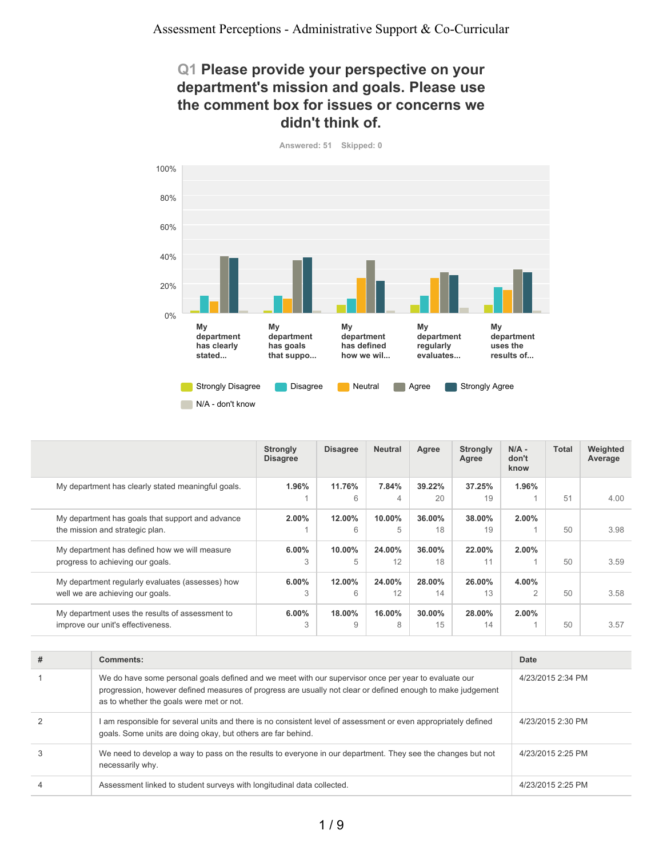### **Q1 Please provide your perspective on your department's mission and goals. Please use the comment box for issues or concerns we didn't think of.**

**Answered: 51 Skipped: 0**



|                                                                                      | <b>Strongly</b><br><b>Disagree</b> | <b>Disagree</b> | <b>Neutral</b> | Agree           | Strongly<br>Agree | $N/A -$<br>don't<br>know | <b>Total</b> | Weighted<br>Average |
|--------------------------------------------------------------------------------------|------------------------------------|-----------------|----------------|-----------------|-------------------|--------------------------|--------------|---------------------|
| My department has clearly stated meaningful goals.                                   | 1.96%                              | 11.76%<br>6     | 7.84%<br>4     | 39.22%<br>20    | 37.25%<br>19      | 1.96%                    | 51           | 4.00                |
| My department has goals that support and advance<br>the mission and strategic plan.  | 2.00%                              | 12.00%<br>6     | 10.00%<br>5    | 36.00%<br>18    | 38.00%<br>19      | $2.00\%$                 | 50           | 3.98                |
| My department has defined how we will measure<br>progress to achieving our goals.    | $6.00\%$<br>3                      | 10.00%<br>5     | 24.00%<br>12   | 36.00%<br>18    | 22.00%<br>11      | $2.00\%$                 | 50           | 3.59                |
| My department regularly evaluates (assesses) how<br>well we are achieving our goals. | $6.00\%$<br>3                      | 12.00%<br>6     | 24.00%<br>12   | 28.00%<br>14    | 26.00%<br>13      | $4.00\%$<br>2            | 50           | 3.58                |
| My department uses the results of assessment to<br>improve our unit's effectiveness. | 6.00%<br>3                         | 18.00%<br>9     | 16.00%<br>8    | $30.00\%$<br>15 | 28.00%<br>14      | $2.00\%$                 | 50           | 3.57                |

| # | Comments:                                                                                                                                                                                                                                                       | Date              |
|---|-----------------------------------------------------------------------------------------------------------------------------------------------------------------------------------------------------------------------------------------------------------------|-------------------|
|   | We do have some personal goals defined and we meet with our supervisor once per year to evaluate our<br>progression, however defined measures of progress are usually not clear or defined enough to make judgement<br>as to whether the goals were met or not. | 4/23/2015 2:34 PM |
|   | am responsible for several units and there is no consistent level of assessment or even appropriately defined<br>goals. Some units are doing okay, but others are far behind.                                                                                   | 4/23/2015 2:30 PM |
| 3 | We need to develop a way to pass on the results to everyone in our department. They see the changes but not<br>necessarily why.                                                                                                                                 | 4/23/2015 2:25 PM |
| 4 | Assessment linked to student surveys with longitudinal data collected.                                                                                                                                                                                          | 4/23/2015 2:25 PM |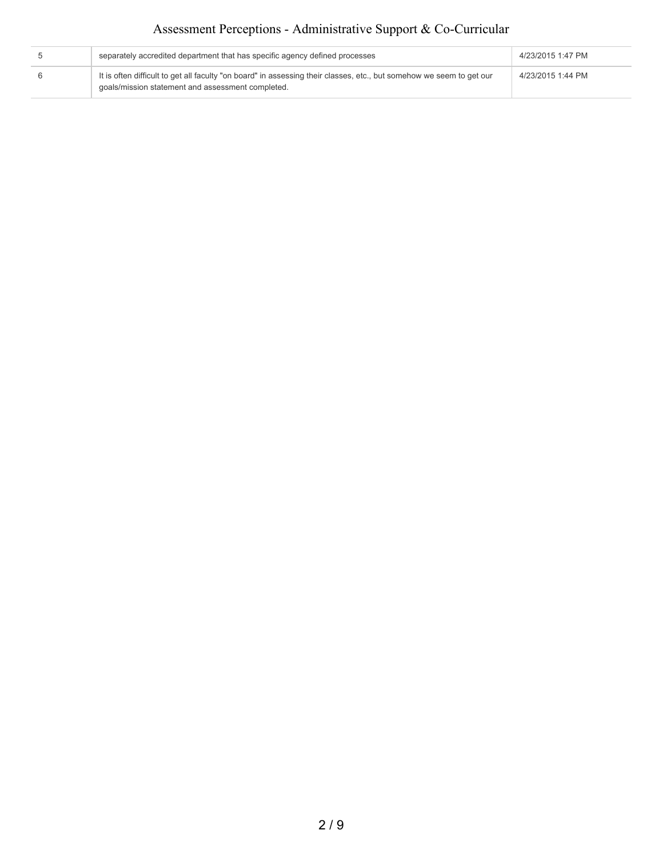# Assessment Perceptions - Administrative Support & Co-Curricular

| separately accredited department that has specific agency defined processes                                                                                               | 4/23/2015 1:47 PM |
|---------------------------------------------------------------------------------------------------------------------------------------------------------------------------|-------------------|
| It is often difficult to get all faculty "on board" in assessing their classes, etc., but somehow we seem to get our<br>goals/mission statement and assessment completed. | 4/23/2015 1:44 PM |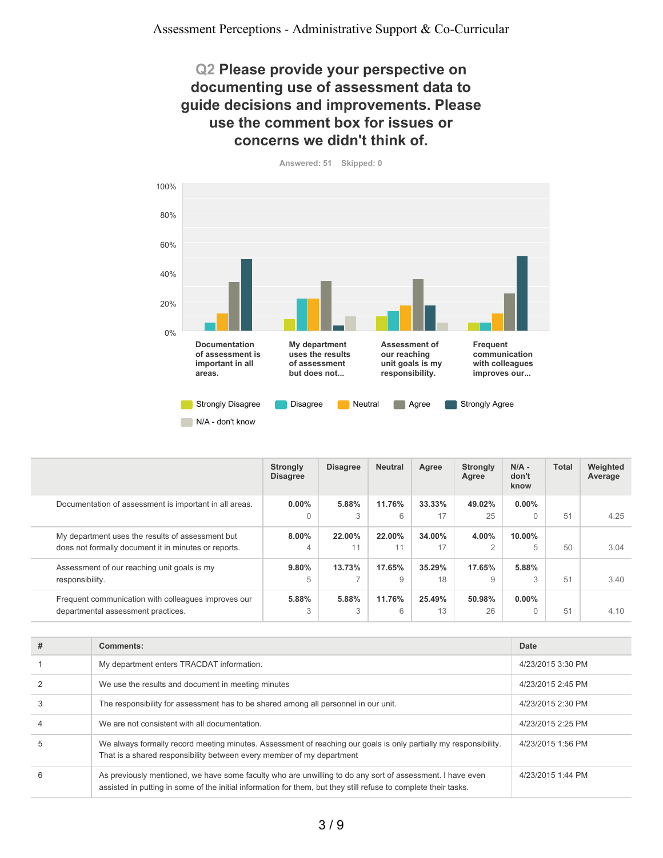### **Q2 Please provide your perspective on documenting use of assessment data to guide decisions and improvements. Please use the comment box for issues or concerns we didn't think of.**



**Answered: 51 Skipped: 0**

|                                                                                                          | <b>Strongly</b><br><b>Disagree</b> | <b>Disagree</b> | <b>Neutral</b> | Agree        | <b>Strongly</b><br>Agree | $N/A -$<br>don't<br>know | <b>Total</b> | Weighted<br>Average |
|----------------------------------------------------------------------------------------------------------|------------------------------------|-----------------|----------------|--------------|--------------------------|--------------------------|--------------|---------------------|
| Documentation of assessment is important in all areas.                                                   | $0.00\%$<br>$\Omega$               | 5.88%<br>3      | 11.76%<br>6    | 33.33%<br>17 | 49.02%<br>25             | $0.00\%$                 | 51           | 4.25                |
| My department uses the results of assessment but<br>does not formally document it in minutes or reports. | $8.00\%$<br>$\overline{4}$         | 22.00%<br>11    | 22.00%<br>11   | 34.00%<br>17 | 4.00%<br>$\overline{2}$  | $10.00\%$<br>5           | 50           | 3.04                |
| Assessment of our reaching unit goals is my<br>responsibility.                                           | 9.80%<br>5                         | 13.73%<br>⇁     | 17.65%<br>9    | 35.29%<br>18 | 17.65%<br>9              | 5.88%<br>3               | 51           | 3.40                |
| Frequent communication with colleagues improves our<br>departmental assessment practices.                | 5.88%<br>3                         | 5.88%<br>3      | 11.76%<br>6    | 25.49%<br>13 | 50.98%<br>26             | $0.00\%$<br>$\Omega$     | 51           | 4.10                |

| # | Comments:                                                                                                                                                                                                                    | <b>Date</b>       |
|---|------------------------------------------------------------------------------------------------------------------------------------------------------------------------------------------------------------------------------|-------------------|
|   | My department enters TRACDAT information.                                                                                                                                                                                    | 4/23/2015 3:30 PM |
|   | We use the results and document in meeting minutes                                                                                                                                                                           | 4/23/2015 2:45 PM |
|   | The responsibility for assessment has to be shared among all personnel in our unit.                                                                                                                                          | 4/23/2015 2:30 PM |
| 4 | We are not consistent with all documentation.                                                                                                                                                                                | 4/23/2015 2:25 PM |
| h | We always formally record meeting minutes. Assessment of reaching our goals is only partially my responsibility.<br>That is a shared responsibility between every member of my department                                    | 4/23/2015 1:56 PM |
| 6 | As previously mentioned, we have some faculty who are unwilling to do any sort of assessment. I have even<br>assisted in putting in some of the initial information for them, but they still refuse to complete their tasks. | 4/23/2015 1:44 PM |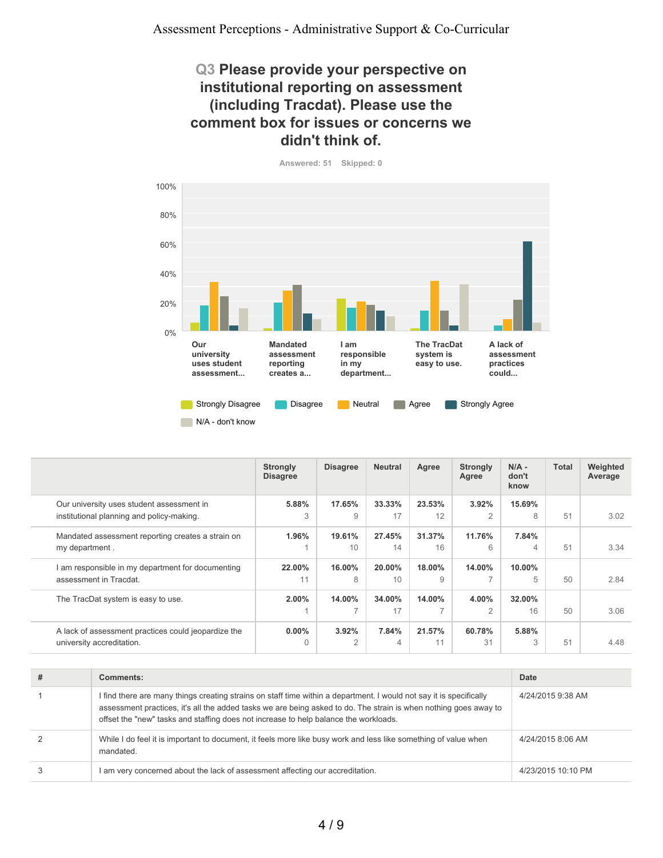### **Q3 Please provide your perspective on institutional reporting on assessment (including Tracdat). Please use the comment box for issues or concerns we didn't think of.**





|                                                                                        | <b>Strongly</b><br><b>Disagree</b> | <b>Disagree</b> | <b>Neutral</b> | Agree        | <b>Strongly</b><br>Agree           | $N/A -$<br>don't<br>know | <b>Total</b> | Weighted<br>Average |
|----------------------------------------------------------------------------------------|------------------------------------|-----------------|----------------|--------------|------------------------------------|--------------------------|--------------|---------------------|
| Our university uses student assessment in<br>institutional planning and policy-making. | 5.88%<br>3                         | 17.65%<br>9     | 33.33%<br>17   | 23.53%<br>12 | 3.92%<br>$\overline{2}$            | 15.69%<br>8              | 51           | 3.02                |
| Mandated assessment reporting creates a strain on<br>my department.                    | 1.96%                              | 19.61%<br>10    | 27.45%<br>14   | 31.37%<br>16 | 11.76%<br>6                        | 7.84%<br>4               | 51           | 3.34                |
| I am responsible in my department for documenting<br>assessment in Tracdat.            | 22.00%<br>11                       | 16.00%<br>8     | 20.00%<br>10   | 18.00%<br>9  | 14.00%<br>$\overline{\phantom{0}}$ | $10.00\%$<br>5           | 50           | 2.84                |
| The TracDat system is easy to use.                                                     | $2.00\%$                           | 14.00%<br>7     | 34.00%<br>17   | 14.00%<br>7  | 4.00%<br>$\overline{2}$            | 32.00%<br>16             | 50           | 3.06                |
| A lack of assessment practices could jeopardize the<br>university accreditation.       | $0.00\%$<br>$\Omega$               | 3.92%<br>2      | 7.84%<br>4     | 21.57%<br>11 | 60.78%<br>31                       | 5.88%<br>3               | 51           | 4.48                |

| # | Comments:                                                                                                                                                                                                                                                                                                                       | Date               |
|---|---------------------------------------------------------------------------------------------------------------------------------------------------------------------------------------------------------------------------------------------------------------------------------------------------------------------------------|--------------------|
|   | I find there are many things creating strains on staff time within a department. I would not say it is specifically<br>assessment practices, it's all the added tasks we are being asked to do. The strain is when nothing goes away to<br>offset the "new" tasks and staffing does not increase to help balance the workloads. | 4/24/2015 9:38 AM  |
| 2 | While I do feel it is important to document, it feels more like busy work and less like something of value when<br>mandated.                                                                                                                                                                                                    | 4/24/2015 8:06 AM  |
| 3 | I am very concerned about the lack of assessment affecting our accreditation.                                                                                                                                                                                                                                                   | 4/23/2015 10:10 PM |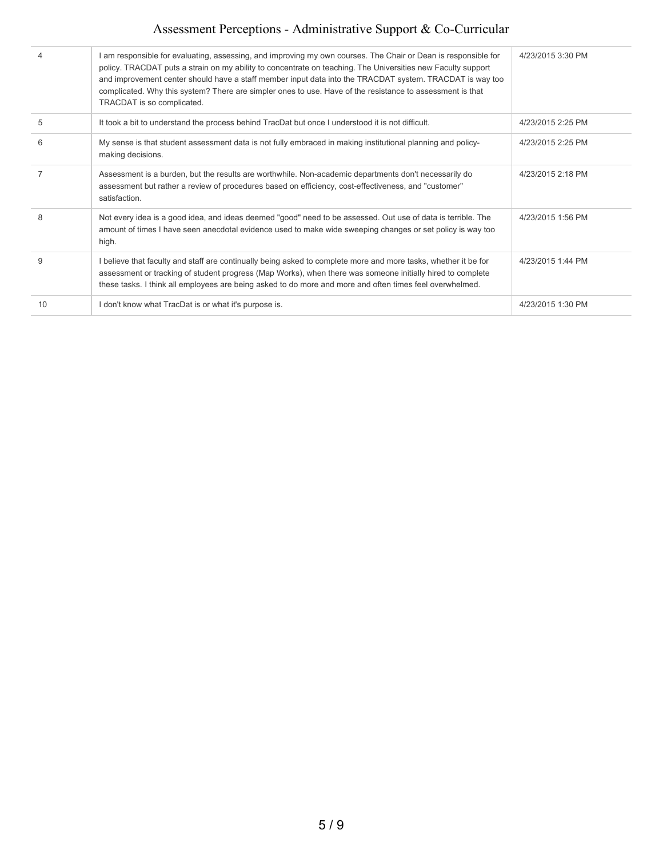# Assessment Perceptions - Administrative Support & Co-Curricular

| 4  | am responsible for evaluating, assessing, and improving my own courses. The Chair or Dean is responsible for<br>policy. TRACDAT puts a strain on my ability to concentrate on teaching. The Universities new Faculty support<br>and improvement center should have a staff member input data into the TRACDAT system. TRACDAT is way too<br>complicated. Why this system? There are simpler ones to use. Have of the resistance to assessment is that<br>TRACDAT is so complicated. | 4/23/2015 3:30 PM |
|----|-------------------------------------------------------------------------------------------------------------------------------------------------------------------------------------------------------------------------------------------------------------------------------------------------------------------------------------------------------------------------------------------------------------------------------------------------------------------------------------|-------------------|
| 5  | It took a bit to understand the process behind TracDat but once I understood it is not difficult.                                                                                                                                                                                                                                                                                                                                                                                   | 4/23/2015 2:25 PM |
| 6  | My sense is that student assessment data is not fully embraced in making institutional planning and policy-<br>making decisions.                                                                                                                                                                                                                                                                                                                                                    | 4/23/2015 2:25 PM |
| 7  | Assessment is a burden, but the results are worthwhile. Non-academic departments don't necessarily do<br>assessment but rather a review of procedures based on efficiency, cost-effectiveness, and "customer"<br>satisfaction.                                                                                                                                                                                                                                                      | 4/23/2015 2:18 PM |
| 8  | Not every idea is a good idea, and ideas deemed "good" need to be assessed. Out use of data is terrible. The<br>amount of times I have seen anecdotal evidence used to make wide sweeping changes or set policy is way too<br>high.                                                                                                                                                                                                                                                 | 4/23/2015 1:56 PM |
| 9  | I believe that faculty and staff are continually being asked to complete more and more tasks, whether it be for<br>assessment or tracking of student progress (Map Works), when there was someone initially hired to complete<br>these tasks. I think all employees are being asked to do more and more and often times feel overwhelmed.                                                                                                                                           | 4/23/2015 1:44 PM |
| 10 | I don't know what TracDat is or what it's purpose is.                                                                                                                                                                                                                                                                                                                                                                                                                               | 4/23/2015 1:30 PM |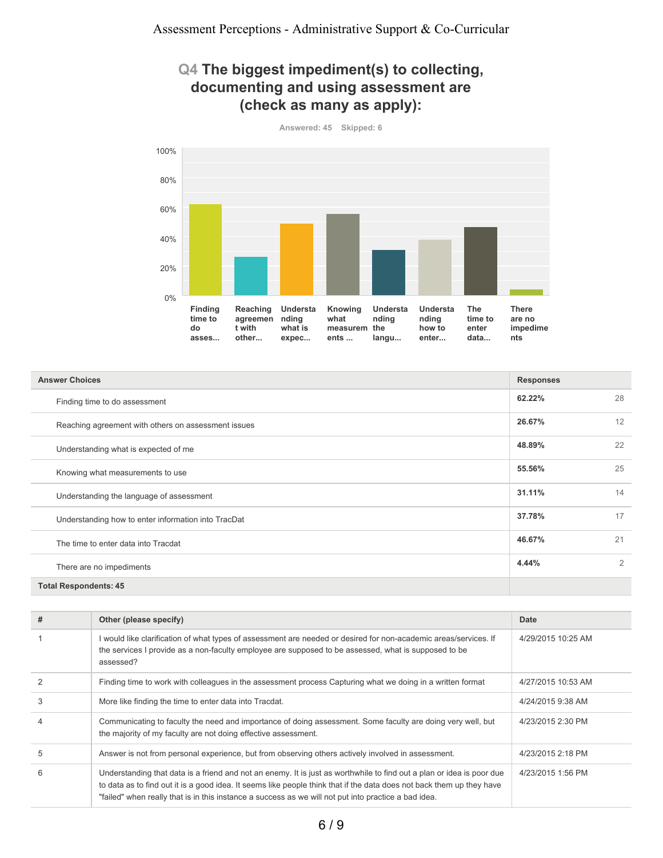### **Q4 The biggest impediment(s) to collecting, documenting and using assessment are (check as many as apply):**



**62.22%** 28 **26.67%** 12 **48.89%** 22 **55.56%** 25 **31.11%** 14 **37.78%** 17 **46.67%** 21 **4.44%** 2 **Total Respondents: 45 Answer Choices Responses** Finding time to do assessment Reaching agreement with others on assessment issues Understanding what is expected of me Knowing what measurements to use Understanding the language of assessment Understanding how to enter information into TracDat The time to enter data into Tracdat There are no impediments

| # | Other (please specify)                                                                                                                                                                                                                                                                                                                                 | Date               |
|---|--------------------------------------------------------------------------------------------------------------------------------------------------------------------------------------------------------------------------------------------------------------------------------------------------------------------------------------------------------|--------------------|
|   | I would like clarification of what types of assessment are needed or desired for non-academic areas/services. If<br>the services I provide as a non-faculty employee are supposed to be assessed, what is supposed to be<br>assessed?                                                                                                                  | 4/29/2015 10:25 AM |
|   | Finding time to work with colleagues in the assessment process Capturing what we doing in a written format                                                                                                                                                                                                                                             | 4/27/2015 10:53 AM |
| 3 | More like finding the time to enter data into Tracdat.                                                                                                                                                                                                                                                                                                 | 4/24/2015 9:38 AM  |
|   | Communicating to faculty the need and importance of doing assessment. Some faculty are doing very well, but<br>the majority of my faculty are not doing effective assessment.                                                                                                                                                                          | 4/23/2015 2:30 PM  |
| 5 | Answer is not from personal experience, but from observing others actively involved in assessment.                                                                                                                                                                                                                                                     | 4/23/2015 2:18 PM  |
| 6 | Understanding that data is a friend and not an enemy. It is just as worthwhile to find out a plan or idea is poor due<br>to data as to find out it is a good idea. It seems like people think that if the data does not back them up they have<br>"failed" when really that is in this instance a success as we will not put into practice a bad idea. | 4/23/2015 1:56 PM  |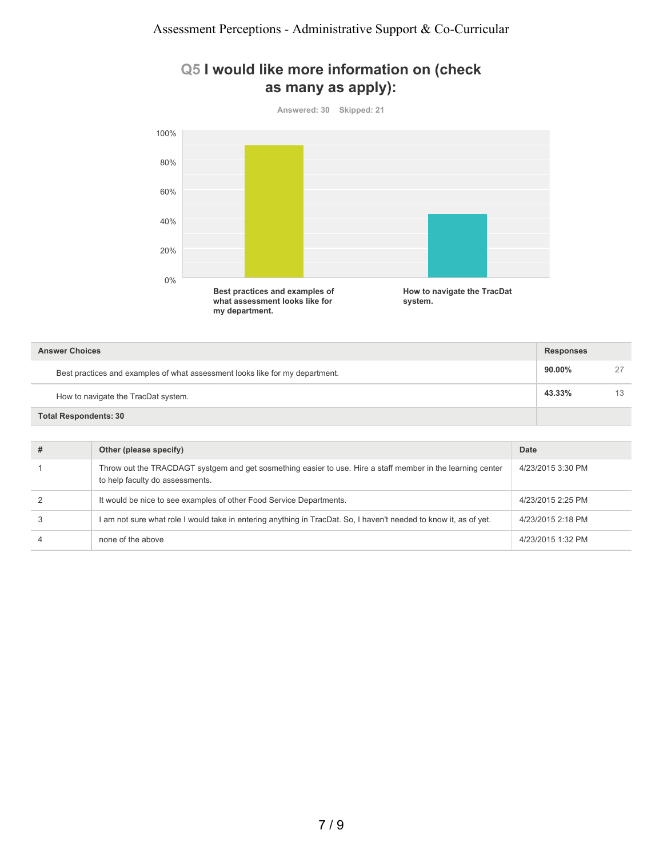### **Q5 I would like more information on (check as many as apply):**

**Answered: 30 Skipped: 21**



| <b>Answer Choices</b>                                                        |           |    |
|------------------------------------------------------------------------------|-----------|----|
| Best practices and examples of what assessment looks like for my department. | $90.00\%$ | 27 |
| How to navigate the TracDat system.                                          | 43.33%    | 13 |
| <b>Total Respondents: 30</b>                                                 |           |    |

| # | Other (please specify)                                                                                                                         | Date              |
|---|------------------------------------------------------------------------------------------------------------------------------------------------|-------------------|
|   | Throw out the TRACDAGT systgem and get sosmething easier to use. Hire a staff member in the learning center<br>to help faculty do assessments. | 4/23/2015 3:30 PM |
|   | It would be nice to see examples of other Food Service Departments.                                                                            | 4/23/2015 2:25 PM |
|   | I am not sure what role I would take in entering anything in TracDat. So, I haven't needed to know it, as of yet.                              | 4/23/2015 2:18 PM |
|   | none of the above                                                                                                                              | 4/23/2015 1:32 PM |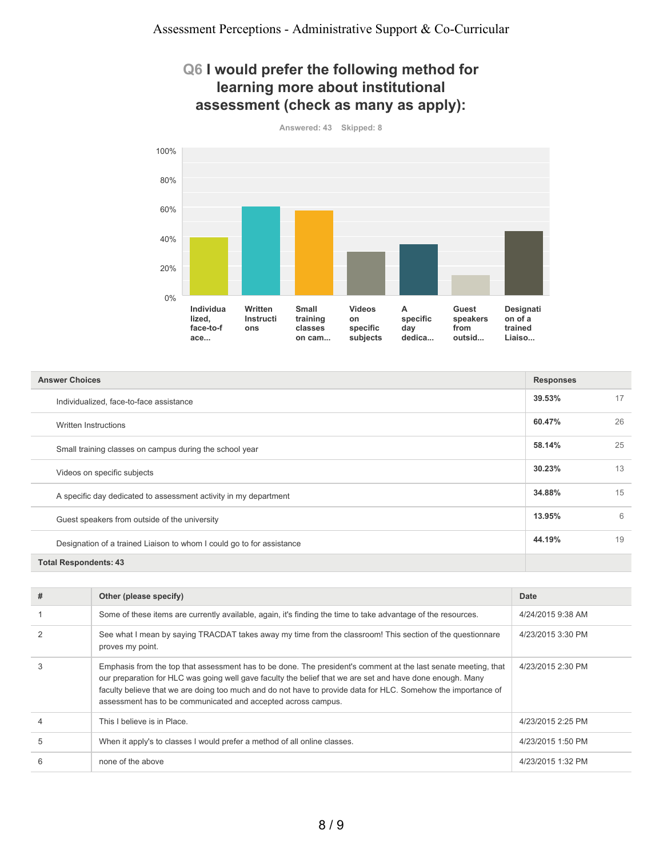### **Q6 I would prefer the following method for learning more about institutional assessment (check as many as apply):**



| <b>Answer Choices</b>                                                 |        |    |
|-----------------------------------------------------------------------|--------|----|
| Individualized, face-to-face assistance                               | 39.53% | 17 |
| Written Instructions                                                  | 60.47% | 26 |
| Small training classes on campus during the school year               | 58.14% | 25 |
| Videos on specific subjects                                           | 30.23% | 13 |
| A specific day dedicated to assessment activity in my department      | 34.88% | 15 |
| Guest speakers from outside of the university                         | 13.95% | 6  |
| Designation of a trained Liaison to whom I could go to for assistance | 44.19% | 19 |
| <b>Total Respondents: 43</b>                                          |        |    |

| # | Other (please specify)                                                                                                                                                                                                                                                                                                                                                                                        | Date              |
|---|---------------------------------------------------------------------------------------------------------------------------------------------------------------------------------------------------------------------------------------------------------------------------------------------------------------------------------------------------------------------------------------------------------------|-------------------|
|   | Some of these items are currently available, again, it's finding the time to take advantage of the resources.                                                                                                                                                                                                                                                                                                 | 4/24/2015 9:38 AM |
|   | See what I mean by saying TRACDAT takes away my time from the classroom! This section of the questionnare<br>proves my point.                                                                                                                                                                                                                                                                                 | 4/23/2015 3:30 PM |
| 3 | Emphasis from the top that assessment has to be done. The president's comment at the last senate meeting, that<br>our preparation for HLC was going well gave faculty the belief that we are set and have done enough. Many<br>faculty believe that we are doing too much and do not have to provide data for HLC. Somehow the importance of<br>assessment has to be communicated and accepted across campus. | 4/23/2015 2:30 PM |
| 4 | This I believe is in Place.                                                                                                                                                                                                                                                                                                                                                                                   | 4/23/2015 2:25 PM |
| 5 | When it apply's to classes I would prefer a method of all online classes.                                                                                                                                                                                                                                                                                                                                     | 4/23/2015 1:50 PM |
| 6 | none of the above                                                                                                                                                                                                                                                                                                                                                                                             | 4/23/2015 1:32 PM |